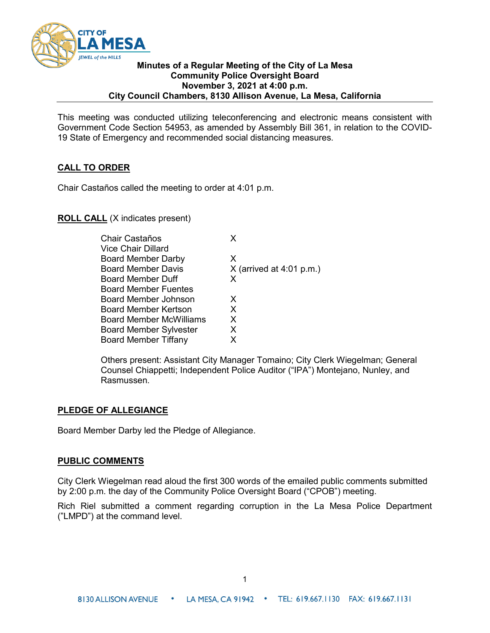

### **Minutes of a Regular Meeting of the City of La Mesa Community Police Oversight Board November 3, 2021 at 4:00 p.m. City Council Chambers, 8130 Allison Avenue, La Mesa, California**

This meeting was conducted utilizing teleconferencing and electronic means consistent with Government Code Section 54953, as amended by Assembly Bill 361, in relation to the COVID-19 State of Emergency and recommended social distancing measures.

## **CALL TO ORDER**

Chair Castaños called the meeting to order at 4:01 p.m.

**ROLL CALL** (X indicates present)

| x                          |
|----------------------------|
|                            |
| X.                         |
| $X$ (arrived at 4:01 p.m.) |
| x                          |
|                            |
| X                          |
| X.                         |
| X                          |
| X                          |
| x                          |
|                            |

Others present: Assistant City Manager Tomaino; City Clerk Wiegelman; General Counsel Chiappetti; Independent Police Auditor ("IPA") Montejano, Nunley, and Rasmussen.

## **PLEDGE OF ALLEGIANCE**

Board Member Darby led the Pledge of Allegiance.

## **PUBLIC COMMENTS**

City Clerk Wiegelman read aloud the first 300 words of the emailed public comments submitted by 2:00 p.m. the day of the Community Police Oversight Board ("CPOB") meeting.

Rich Riel submitted a comment regarding corruption in the La Mesa Police Department ("LMPD") at the command level.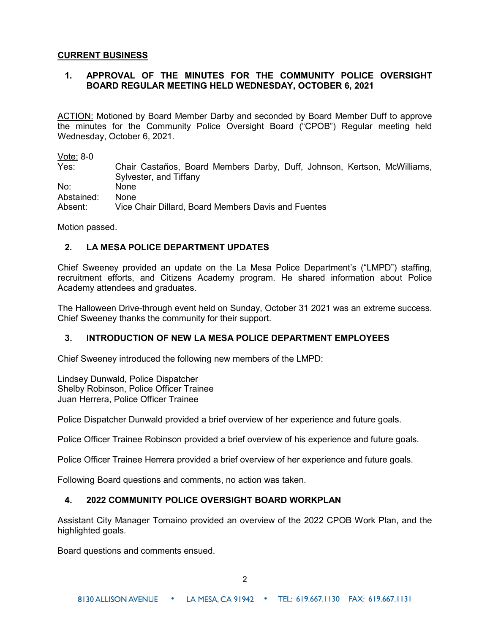### **CURRENT BUSINESS**

# **1. APPROVAL OF THE MINUTES FOR THE COMMUNITY POLICE OVERSIGHT BOARD REGULAR MEETING HELD WEDNESDAY, OCTOBER 6, 2021**

ACTION: Motioned by Board Member Darby and seconded by Board Member Duff to approve the minutes for the Community Police Oversight Board ("CPOB") Regular meeting held Wednesday, October 6, 2021.

Vote: 8-0

Yes: Chair Castaños, Board Members Darby, Duff, Johnson, Kertson, McWilliams, Sylvester, and Tiffany No: None Abstained: None Absent: Vice Chair Dillard, Board Members Davis and Fuentes

Motion passed.

## **2. LA MESA POLICE DEPARTMENT UPDATES**

Chief Sweeney provided an update on the La Mesa Police Department's ("LMPD") staffing, recruitment efforts, and Citizens Academy program. He shared information about Police Academy attendees and graduates.

The Halloween Drive-through event held on Sunday, October 31 2021 was an extreme success. Chief Sweeney thanks the community for their support.

### **3. INTRODUCTION OF NEW LA MESA POLICE DEPARTMENT EMPLOYEES**

Chief Sweeney introduced the following new members of the LMPD:

Lindsey Dunwald, Police Dispatcher Shelby Robinson, Police Officer Trainee Juan Herrera, Police Officer Trainee

Police Dispatcher Dunwald provided a brief overview of her experience and future goals.

Police Officer Trainee Robinson provided a brief overview of his experience and future goals.

Police Officer Trainee Herrera provided a brief overview of her experience and future goals.

Following Board questions and comments, no action was taken.

### **4. 2022 COMMUNITY POLICE OVERSIGHT BOARD WORKPLAN**

Assistant City Manager Tomaino provided an overview of the 2022 CPOB Work Plan, and the highlighted goals.

Board questions and comments ensued.